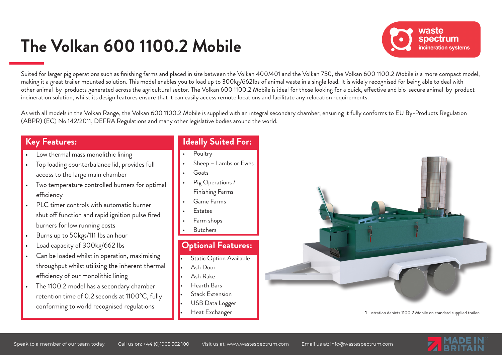# **The Volkan 600 1100.2 Mobile**



Suited for larger pig operations such as finishing farms and placed in size between the Volkan 400/401 and the Volkan 750, the Volkan 600 1100.2 Mobile is a more compact model, making it a great trailer mounted solution. This model enables you to load up to 300kg/662lbs of animal waste in a single load. It is widely recognised for being able to deal with other animal-by-products generated across the agricultural sector. The Volkan 600 1100.2 Mobile is ideal for those looking for a quick, effective and bio-secure animal-by-product incineration solution, whilst its design features ensure that it can easily access remote locations and facilitate any relocation requirements.

As with all models in the Volkan Range, the Volkan 600 1100.2 Mobile is supplied with an integral secondary chamber, ensuring it fully conforms to EU By-Products Regulation (ABPR) (EC) No 142/2011, DEFRA Regulations and many other legislative bodies around the world.

#### **Key Features:**

- Low thermal mass monolithic lining
- Top loading counterbalance lid, provides full access to the large main chamber
- Two temperature controlled burners for optimal efficiency
- PLC timer controls with automatic burner shut off function and rapid ignition pulse fired burners for low running costs
- Burns up to 50kgs/111 Ibs an hour
- Load capacity of 300kg/662 Ibs
- Can be loaded whilst in operation, maximising throughput whilst utilising the inherent thermal efficiency of our monolithic lining
- The 1100.2 model has a secondary chamber retention time of 0.2 seconds at 1100°C, fully conforming to world recognised regulations

### **Ideally Suited For:**

- **Poultry**
- Sheep Lambs or Ewes
- **Goats**
- Pig Operations / Finishing Farms
- Game Farms
- **Estates**
- Farm shops
- **Butchers**

#### **Optional Features:**

- **Static Option Available**
- Ash Door
- Ash Rake
- Hearth Bars
- Stack Extension
- USB Data Logger
- Heat Exchanger



\*Illustration depicts 1100.2 Mobile on standard supplied trailer.